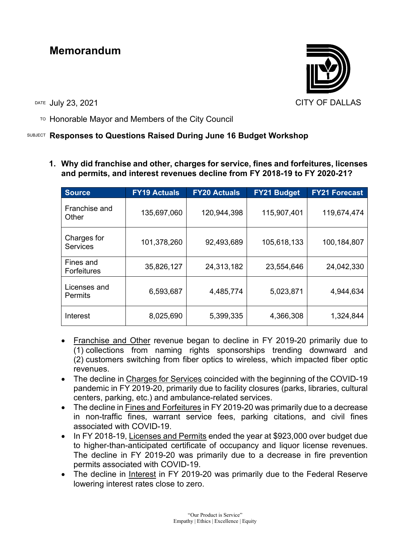# **Memorandum**

DATE JUIV 23, 2021 2008 2009 2009 2009 2012 2021 2022 2024

 $T$ <sup>O</sup> Honorable Mayor and Members of the City Council

## SUBJECT **Responses to Questions Raised During June 16 Budget Workshop**

**1. Why did franchise and other, charges for service, fines and forfeitures, licenses and permits, and interest revenues decline from FY 2018-19 to FY 2020-21?**

| <b>Source</b>                   | <b>FY19 Actuals</b> | <b>FY20 Actuals</b> | <b>FY21 Budget</b> | <b>FY21 Forecast</b> |
|---------------------------------|---------------------|---------------------|--------------------|----------------------|
| Franchise and<br>Other          | 135,697,060         | 120,944,398         | 115,907,401        | 119,674,474          |
| Charges for<br><b>Services</b>  | 101,378,260         | 92,493,689          | 105,618,133        | 100,184,807          |
| Fines and<br><b>Forfeitures</b> | 35,826,127          | 24,313,182          | 23,554,646         | 24,042,330           |
| Licenses and<br><b>Permits</b>  | 6,593,687           | 4,485,774           | 5,023,871          | 4,944,634            |
| Interest                        | 8,025,690           | 5,399,335           | 4,366,308          | 1,324,844            |

- Franchise and Other revenue began to decline in FY 2019-20 primarily due to (1) collections from naming rights sponsorships trending downward and (2) customers switching from fiber optics to wireless, which impacted fiber optic revenues.
- The decline in Charges for Services coincided with the beginning of the COVID-19 pandemic in FY 2019-20, primarily due to facility closures (parks, libraries, cultural centers, parking, etc.) and ambulance-related services.
- The decline in Fines and Forfeitures in FY 2019-20 was primarily due to a decrease in non-traffic fines, warrant service fees, parking citations, and civil fines associated with COVID-19.
- In FY 2018-19, Licenses and Permits ended the year at \$923,000 over budget due to higher-than-anticipated certificate of occupancy and liquor license revenues. The decline in FY 2019-20 was primarily due to a decrease in fire prevention permits associated with COVID-19.
- The decline in Interest in FY 2019-20 was primarily due to the Federal Reserve lowering interest rates close to zero.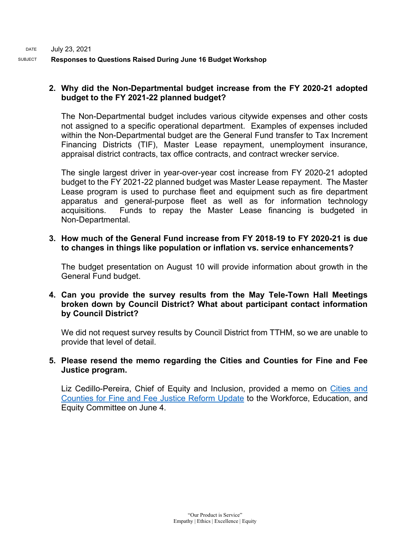### **2. Why did the Non-Departmental budget increase from the FY 2020-21 adopted budget to the FY 2021-22 planned budget?**

The Non-Departmental budget includes various citywide expenses and other costs not assigned to a specific operational department. Examples of expenses included within the Non-Departmental budget are the General Fund transfer to Tax Increment Financing Districts (TIF), Master Lease repayment, unemployment insurance, appraisal district contracts, tax office contracts, and contract wrecker service.

The single largest driver in year-over-year cost increase from FY 2020-21 adopted budget to the FY 2021-22 planned budget was Master Lease repayment. The Master Lease program is used to purchase fleet and equipment such as fire department apparatus and general-purpose fleet as well as for information technology acquisitions. Funds to repay the Master Lease financing is budgeted in Non-Departmental.

**3. How much of the General Fund increase from FY 2018-19 to FY 2020-21 is due to changes in things like population or inflation vs. service enhancements?**

The budget presentation on August 10 will provide information about growth in the General Fund budget.

**4. Can you provide the survey results from the May Tele-Town Hall Meetings broken down by Council District? What about participant contact information by Council District?**

We did not request survey results by Council District from TTHM, so we are unable to provide that level of detail.

#### **5. Please resend the memo regarding the Cities and Counties for Fine and Fee Justice program.**

Liz Cedillo-Pereira, Chief of Equity and Inclusion, provided a memo on Cities and [Counties for Fine and Fee Justice Reform Update](https://dallascityhall.com/government/Council%20Meeting%20Documents/Responses_AttA_072321.pdf) to the Workforce, Education, and Equity Committee on June 4.